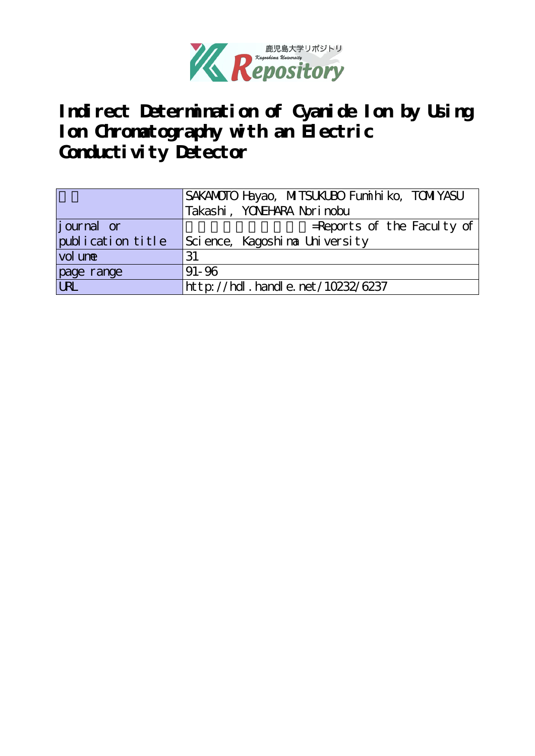

**Indirect Determination of Cyanide Ion by Using Ion Chromatography with an Electric** Conductivity Detector

|                   | SAKANOTO Hayao, MITSUKUBO Funii hi ko, TOMIYASU |
|-------------------|-------------------------------------------------|
|                   | Takashi, YONEHARA Norinobu                      |
| journal or        | $=$ Reports of the Faculty of                   |
| publication title | Science, Kagoshina University                   |
| vol une           | 31                                              |
| page range        | $91 - 96$                                       |
| URL               | http://hdl.handle.net/10232/6237                |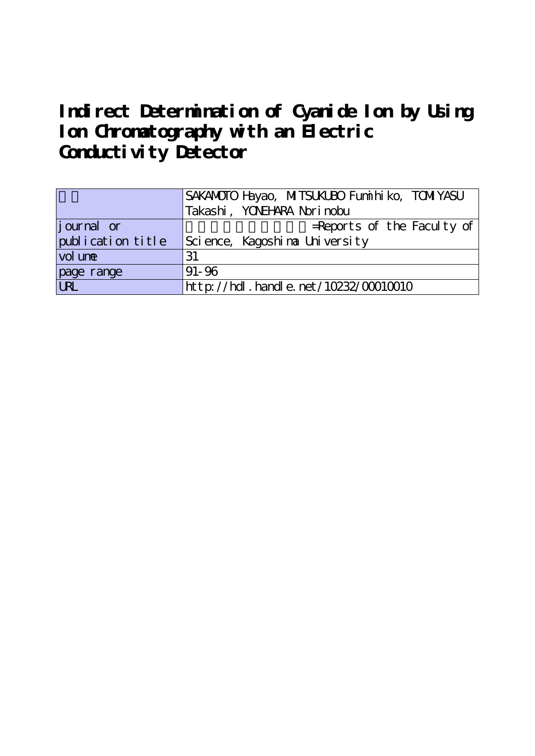# **Indirect Determination of Cyanide Ion by Using Ion Chromatography with an Electric** Conductivity Detector

|                    | SAKANOTO Hayao, MITSUKUBO Funii hi ko, TOMIYASU |
|--------------------|-------------------------------------------------|
|                    | Takashi, YOVEHARA Norinobu                      |
| <i>j</i> ournal or | $=$ Reports of the Faculty of                   |
| publication title  | Science, Kagoshina University                   |
| vol une            | 31                                              |
| page range         | $91 - 96$                                       |
| <b>URL</b>         | http://hdl.handle.net/10232/00010010            |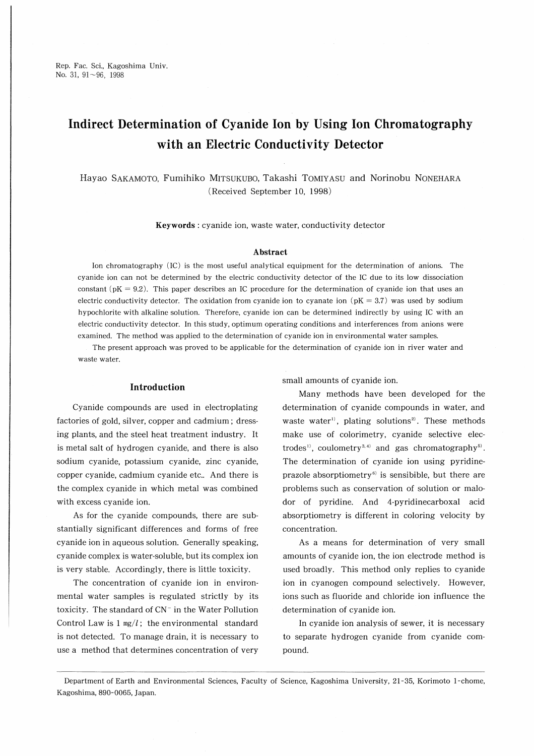Rep. Fac. Sci., Kagoshima Univ. No. 31, 91~96, 1998

# Indirect Determination of Cyanide Ion by Using Ion Chromatography with an Electric Conductivity Detector

Hayao Sakamoto, Fumihiko Mitsukubo, Takashi Tomiyasu and Normobu Nonehara (Received September 10, 1998)

Keywords : cyanide ion, waste water, conductivity detector

#### Abstract

Ion chromatography (IC) is the most useful analytical equipment for the determination of anions. The cyanide ion can not be determined by the electric conductivity detector of the IC due to its low dissociation constant ( $pK = 9.2$ ). This paper describes an IC procedure for the determination of cyanide ion that uses an electric conductivity detector. The oxidation from cyanide ion to cyanate ion ( $pK = 3.7$ ) was used by sodium hypochlorite with alkaline solution. Therefore, cyanide ion can be determined indirectly by using IC with an electric conductivity detector. In this study, optimum operating conditions and interferences from anions were examined. The method was applied to the determination of cyanide ion in environmental water samples.

The present approach was proved to be applicable for the determination of cyanide ion in river water and waste water.

#### Introduction

Cyanide compounds are used in electroplating factories of gold, silver, copper and cadmium ; dressing plants, and the steel heat treatment industry. It is metal salt of hydrogen cyanide, and there is also sodium cyanide, potassium cyanide, zinc cyanide, copper cyanide, cadmium cyanide etc‥ And there is the complex cyanide in which metal was combined with excess cyanide ion.

As for the cyanide compounds, there are substantially significant differences and forms of free cyanide ion in aqueous solution. Generally speaking, cyanide complex is water-soluble, but its complex ion is very stable. Accordingly, there is little toxicity.

The concentration of cyanide ion in environmental water samples is regulated strictly by its toxicity. The standard of  $CN^-$  in the Water Pollution Control Law is  $1 \text{ mg}/l$ ; the environmental standard is not detected. To manage drain, it is necessary to use a method that determines concentration of very

small amounts of cyanide ion.

Many methods have been developed for the determination of cyanide compounds in water, and waste water<sup>1)</sup>, plating solutions<sup>2)</sup>. These methods make use of colorimetry, cyanide selective electrodes<sup>1</sup>, coulometry<sup>3,4)</sup> and gas chromatography<sup>5)</sup>. The determination of cyanide ion using pyridineprazole absorptiometry $6$  is sensibible, but there are problems such as conservation of solution or malodor of pyridine. And 4-pyridinecarboxal acid absorptiometry is different in coloring velocity by concentration.

As a means for determination of very small amounts of cyanide ion, the ion electrode method is used broadly. This method only replies to cyanide ion in cyanogen compound selectively. However, ions such as fluoride and chloride ion influence the determination of cyanide ion.

In cyanide ion analysis of sewer, it is necessary to separate hydrogen cyanide from cyanide compound.

Department of Earth and Environmental Sciences, Faculty of Science, Kagoshima University, 21-35, Korimoto 1-chome, Kagoshima, 890-0065, Japan.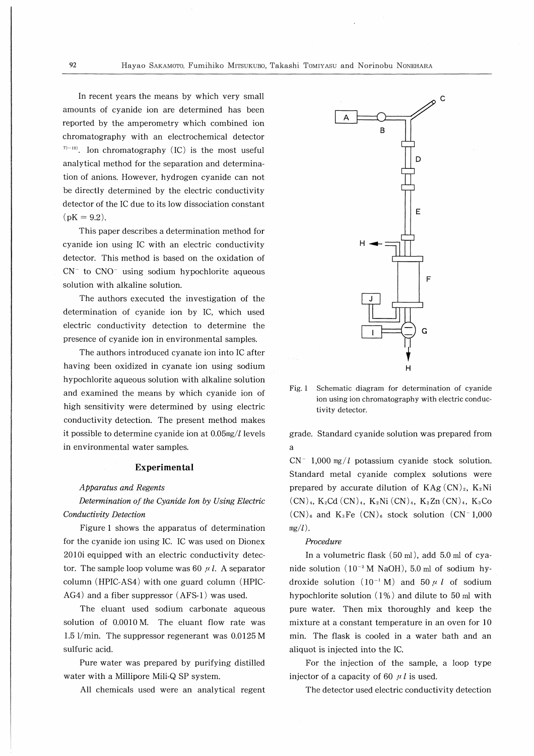In recent years the means by which very small amounts of cyanide ion are determined has been reported by the amperometry which combined ion chromatography with an electrochemical detector  $7)-10$ ). Ion chromatography (IC) is the most useful analytical method for the separation and determination of anions. However, hydrogen cyanide can not be directly determined by the electric conductivity detector of the IC due to its low dissociation constant  $(pK = 9.2)$ .

This paper describes a determination method for cyanide ion using IC with an electric conductivity detector. This method is based on the oxidation of  $CN^-$  to  $CNO^-$  using sodium hypochlorite aqueous solution with alkaline solution.

The authors executed the investigation of the determination of cyanide ion by IC, which used electric conductivity detection to determine the presence of cyanide ion in environmental samples.

The authors introduced cyanate ion into IC after having been oxidized in cyanate ion using sodium hypochlorite aqueous solution with alkaline solution and examined the means by which cyanide ion of high sensitivity were determined by using electric conductivity detection. The present method makes it possible to determine cyanide ion at  $0.05$ mg/ $l$  levels in environmental water samples.

#### Experimental

#### Apparatus and Regents

Determination of the Cyanide Ion by Using Electric Conductivity Detection

Figure 1 shows the apparatus of determination for the cyanide ion using IC. IC was used on Dionex 2010i equipped with an electric conductivity detector. The sample loop volume was 60  $\mu$  l. A separator column (HPIC-AS4) with one guard column (HPIC-AG4) and a fiber suppressor (AFS-1) was used.

The eluant used sodium carbonate aqueous solution of 0.0010M. The eluant flow rate was 1.5 1/min. The suppressor regenerant was 0.0125 M sulfuric acid.

Pure water was prepared by purifying distilled water with a Millipore Mili-Q SP system.

All chemicals used were an analytical regent



Fig. 1 Schematic diagram for determination of cyanide ion using ion chromatography with electric conductivity detector.

grade. Standard cyanide solution was prepared from a

 $CN^-$  1,000 mg/*l* potassium cyanide stock solution. Standard metal cyanide complex solutions were prepared by accurate dilution of  $KAg (CN)_2$ ,  $K_2Ni$ (CN)<sub>4</sub>, K<sub>2</sub>Cd (CN)<sub>4</sub>, K<sub>2</sub>Ni (CN)<sub>4</sub>, K<sub>2</sub>Zn (CN)<sub>4</sub>, K<sub>3</sub>Co  $(CN)_{6}$  and  $K_{3}Fe$   $(CN)_{6}$  stock solution  $(CN^{-1},000)$  $mg/l$ ).

#### Procedure

In a volumetric flask (50 ml), add 5.0ml of cyanide solution  $(10^{-2} M$  NaOH), 5.0 ml of sodium hydroxide solution  $(10^{-1} M)$  and  $50 \mu l$  of sodium hypochlorite solution (1%) and dilute to 50 ml with pure water. Then mix thoroughly and keep the mixture at a constant temperature in an oven for 10 min. The flask is cooled in a water bath and an aliquot is injected into the IC.

For the injection of the sample, a loop type injector of a capacity of 60  $\mu$ *l* is used.

The detector used electric conductivity detection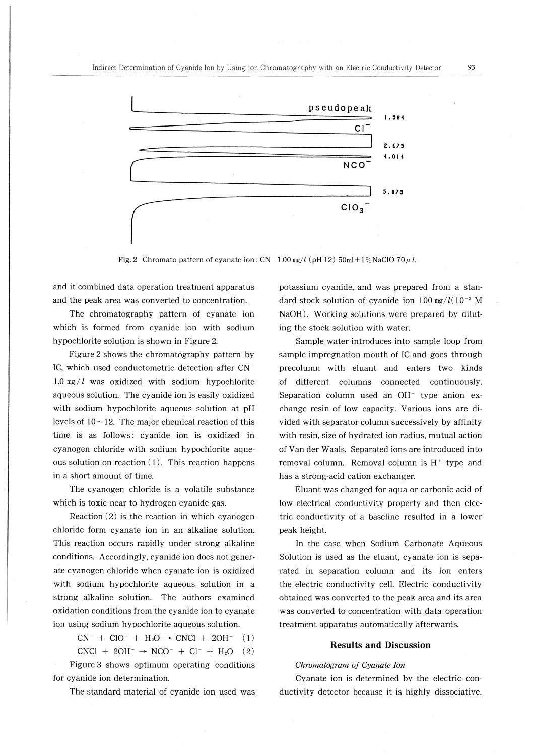

Fig. 2 Chromato pattern of cyanate ion:  $CN^-$  1.00 mg/l (pH 12) 50ml + 1%NaClO 70  $\mu$  l.

and it combined data operation treatment apparatus and the peak area was converted to concentration.

The chromatography pattern of cyanate ion which is formed from cyanide ion with sodium hypochlorite solution is shown in Figure 2.

Figure 2 shows the chromatography pattern by IC, which used conductometric detection after CN<sup>-</sup> 1.0 mg/ $l$  was oxidized with sodium hypochlorite aqueous solution. The cyanide ion is easily oxidized with sodium hypochlorite aqueous solution at pH levels of  $10 - 12$ . The major chemical reaction of this time is as follows: cyanide ion is oxidized in cyanogen chloride with sodium hypochlorite aqueous solution on reaction  $(1)$ . This reaction happens in a short amount of time.

The cyanogen chloride is a volatile substance which is toxic near to hydrogen cyanide gas.

Reaction (2) is the reaction in which cyanogen chloride form cyanate ion in an alkaline solution. This reaction occurs rapidly under strong alkaline conditions. Accordingly, cyanide ion does not generate cyanogen chloride when cyanate ion is oxidized with sodium hypochlorite aqueous solution in a strong alkaline solution. The authors examined oxidation conditions from the cyanide ion to cyanate ion using sodium hypochlorite aqueous solution.

 $CN^- + ClO^- + H_2O \rightarrow CNCl + 2OH^-$  (1)

 $CNC1 + 2OH^- \rightarrow NCO^- + Cl^- + H_2O$  (2) Figure 3 shows optimum operating conditions for cyanide ion determination.

The standard material of cyanide ion used was

potassium cyanide, and was prepared from a standard stock solution of cyanide ion 100 mg/ $l(10^{-2}$  M NaOH). Working solutions were prepared by diluting the stock solution with water.

Sample water introduces into sample loop from sample impregnation mouth of IC and goes through precolumn with eluant and enters two kinds of different columns connected continuously. Separation column used an  $OH^-$  type anion exchange resin of low capacity. Various ions are divided with separator column successively by affinity with resin, size of hydrated ion radius, mutual action of Van der Waals. Separated ions are introduced into removal column. Removal column is  $H^+$  type and has a strong-acid cation exchanger.

Eluant was changed for aqua or carbonic acid of low electrical conductivity property and then electrie conductivity of a baseline resulted in a lower peak height.

In the case when Sodium Carbonate Aqueous Solution is used as the eluant, cyanate ion is separated in separation column and its ion enters the electric conductivity cell. Electric conductivity obtained was converted to the peak area and its area was converted to concentration with data operation treatment apparatus automatically afterwards.

# Results and Discussion

#### Chromatogram of Cyanate Ion

Cyanate ion is determined by the electric conductivity detector because it is highly dissociative.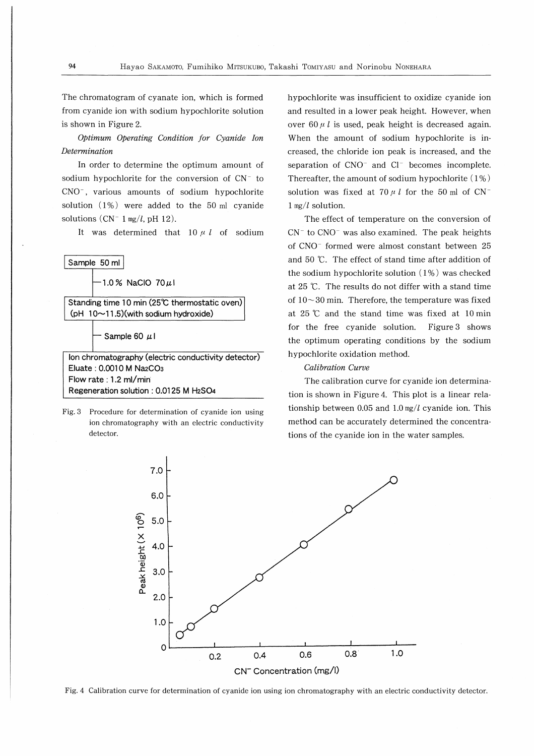The chromatogram of cyanate ion, which is formed from cyanide ion with sodium hypochlorite solution is shown in Figure 2.

0ptimum Operating Condition for Cyanide Ion **Determination** 

In order to determine the optimum amount of sodium hypochlorite for the conversion of  $CN^-$  to CNO<sup>-</sup>, various amounts of sodium hypochlorite solution (1%) were added to the 50ml cyanide solutions  $(CN^{-1} \text{ mg}/l, \text{pH } 12)$ .

It was determined that  $10 \mu l$  of sodium



Eluate: 0.0010 M Na2CO3 Flow rate : 1.2 ml/min Regeneration solution: 0.0125 M H2SO4

Fig. 3 Procedure for determination of cyanide ion using ion chromatography with an electric conductivity detector.

hypochlorite was insufficient to oxidize cyanide ion and resulted in a lower peak height. However, when over 60  $\mu$  *l* is used, peak height is decreased again. When the amount of sodium hypochlorite is increased, the chloride ion peak is increased, and the separation of  $CNO^{-}$  and  $Cl^{-}$  becomes incomplete. Thereafter, the amount of sodium hypochlorite  $(1\%)$ solution was fixed at 70  $\mu$  I for the 50 ml of CN<sup>-</sup> 1 mg/l solution.

The effect of temperature on the conversion of  $CN^-$  to  $CNO^-$  was also examined. The peak heights of CNO<sup>-</sup> formed were almost constant between 25 and 50 ℃. The effect of stand time after addition of the sodium hypochlorite solution ( 1%) was checked at 25 ℃. The results do not differ with a stand time of  $10-30$  min. Therefore, the temperature was fixed at 25℃ and the stand time was fixed at lOmin for the free cyanide solution. Figure3 shows the optimum operating conditions by the sodium hypochlorite oxidation method.

#### Calibration Curve

The calibration curve for cyanide ion determination is shown in Figure4. This plot is a linear relationship between 0.05 and 1.0 mg/l cyanide ion. This method can be accurately determined the concentrations of the cyanide ion in the water samples.



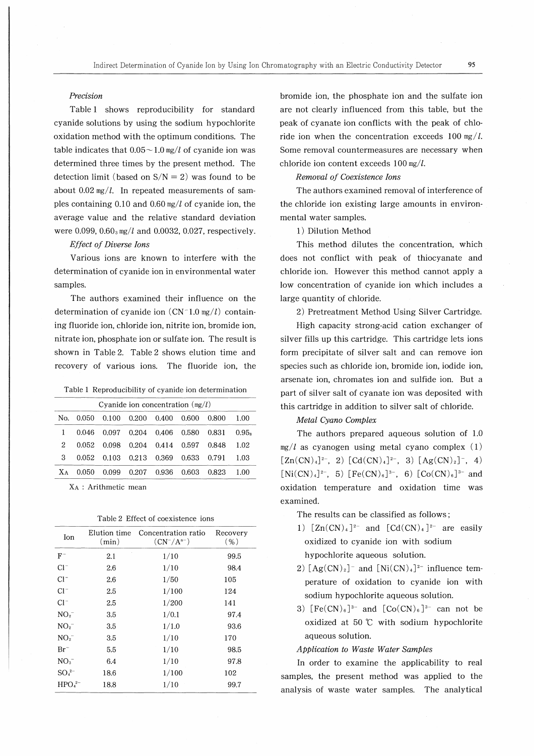### Precision

Table 1 shows reproducibility for standard cyanide solutions by using the sodium hypochlorite oxidation method with the optimum conditions. The table indicates that  $0.05 \sim 1.0$  mg/l of cyanide ion was determined three times by the present method. The detection limit (based on  $S/N = 2$ ) was found to be about 0.02 mg/l. In repeated measurements of samples containing 0.10 and 0.60  $mg/l$  of cyanide ion, the average value and the relative standard deviation were 0.099,  $0.60_3$  mg/l and 0.0032, 0.027, respectively.

# Effect of Diverse Ions

Various ions are known to interfere with the determination of cyanide ion in environmental water samples.

The authors examined their influence on the determination of cyanide ion  $(CN-1.0 \text{ mg}/l)$  containing fluoride ion, chloride ion, nitrite ion, bromide ion, nitrate ion, phosphate ion or sulfate ion. The result is shown in Table2. Table2 shows elution time and recovery of various ions. The fluoride ion, the

Table 1 Reproducibility of cyanide ion determination

| Cyanide ion concentration $(mg/l)$ |       |                                     |                                             |                   |  |                                                  |        |
|------------------------------------|-------|-------------------------------------|---------------------------------------------|-------------------|--|--------------------------------------------------|--------|
| No.                                | 0.050 |                                     | $0.100 \quad 0.200 \quad 0.400 \quad 0.600$ |                   |  | 0.800                                            | -1.00  |
|                                    | 0.046 |                                     |                                             |                   |  | $0.097$ $0.204$ $0.406$ $0.580$ $0.831$ $0.95_s$ |        |
| 2                                  |       | 0.052 0.098 0.204 0.414 0.597 0.848 |                                             |                   |  |                                                  | - 1.02 |
| 3                                  |       | 0.052 0.103 0.213 0.369 0.633       |                                             |                   |  | - 0.791                                          | -1.03  |
| X A                                | 0.050 | 0.099                               |                                             | 0.207 0.936 0.603 |  | 0.823                                            | 1.00   |

ⅩA : Arithmetic mean

| Ion                            | Elution time<br>(min) | Concentration ratio<br>$(CN^{-}/A^{n-})$ | Recovery<br>( %) |
|--------------------------------|-----------------------|------------------------------------------|------------------|
| $F^-$                          | 2.1                   | 1/10                                     | 99.5             |
| $Cl^-$                         | 2.6                   | 1/10                                     | 98.4             |
| $Cl^-$                         | 2.6                   | 1/50                                     | 105              |
| $Cl^-$                         | 2.5                   | 1/100                                    | 124              |
| $Cl^-$                         | 2.5                   | 1/200                                    | 141              |
| NO <sub>2</sub>                | 3.5                   | 1/0.1                                    | 97.4             |
| NO <sub>2</sub>                | 3.5                   | 1/1.0                                    | 93.6             |
| NO <sub>2</sub>                | 3.5                   | 1/10                                     | 170              |
| $Br^-$                         | 5.5                   | 1/10                                     | 98.5             |
| $NO3-$                         | 6.4                   | 1/10                                     | 97.8             |
| $SO_4^{2-}$                    | 18.6                  | 1/100                                    | 102              |
| HPO <sub>4</sub> <sup>2–</sup> | 18.8                  | 1/10                                     | 99.7             |

bromide ion, the phosphate ion and the sulfate ion are not clearly influenced from this table, but the peak of cyanate ion conflicts with the peak of chloride ion when the concentration exceeds 100 mg/l. Some removal countermeasures are necessary when chloride ion content exceeds  $100 \text{ mg}/l$ .

# Removal of Coexistence Ions

The authors examined removal of interference of the chloride ion existing large amounts in environmental water samples.

1) Dilution Method

This method dilutes the concentration, which does not conflict with peak of thiocyanate and chloride ion. However this method cannot apply a low concentration of cyanide ion which includes a large quantity of chloride.

2) Pretreatment Method Using Silver Cartridge.

High capacity strong-acid cation exchanger of silver fills up this cartridge. This cartridge lets ions form precipitate of silver salt and can remove ion species such as chloride ion, bromide ion, iodide ion, arsenate ion, chromates ion and sulfide ion. But a part of silver salt of cyanate ion was deposited with this cartridge in addition to silver salt of chloride.

# Metal Cyano Complex

The authors prepared aqueous solution of 1.0  $mg/l$  as cyanogen using metal cyano complex (1)  $[Zn(CN)_4]^{2-}$ , 2)  $[Cd(CN)_4]^{2-}$ , 3)  $[Ag(CN)_2]^{-}$ , 4)  $[Ni(CN)_4]^{2-}$ , 5)  $[Fe(CN)_6]^{3-}$ , 6)  $[Co(CN)_6]^{3-}$  and oxidation temperature and oxidation time was examined.

- The results can be classified as follows ;
- 1)  $[Zn(CN)_4]^{2-}$  and  $[Cd(CN)_4]^{2-}$  are easily oxidized to cyanide ion with sodium hypochlorite aqueous solution.
- 2)  $[Ag(CN)_2]$ <sup>-</sup> and  $[Ni(CN)_4]$ <sup>2-</sup> influence temperature of oxidation to cyanide ion with sodium hypochlorite aqueous solution.
- 3)  $[Fe(CN)_6]^{3-}$  and  $[Co(CN)_6]^{3-}$  can not be oxidized at 50 ℃ with sodium hypochlorite aqueous solution.

#### Application to Waste Water Samples

In order to examine the applicability to real samples, the present method was applied to the analysis of waste water samples. The analytical